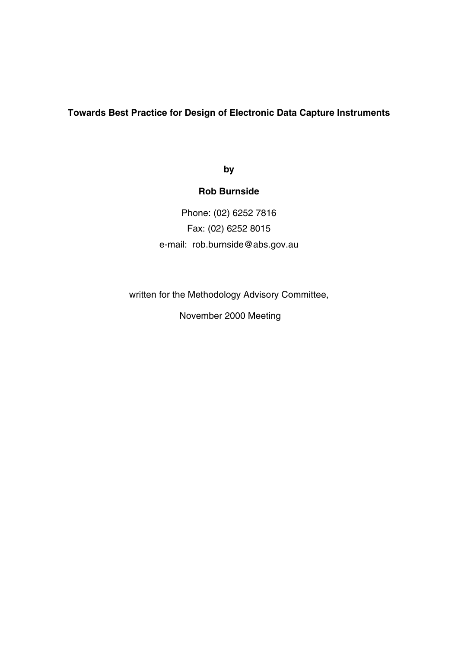### **Towards Best Practice for Design of Electronic Data Capture Instruments**

**by**

## **Rob Burnside**

Phone: (02) 6252 7816 Fax: (02) 6252 8015 e-mail: rob.burnside@abs.gov.au

written for the Methodology Advisory Committee,

November 2000 Meeting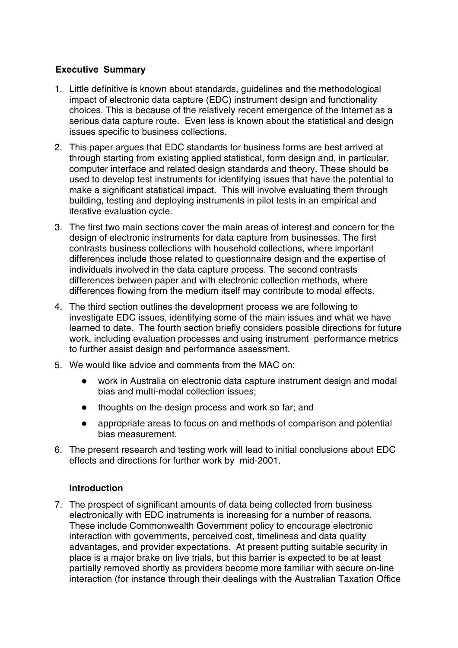## **Executive Summary**

- 1. Little definitive is known about standards, guidelines and the methodological impact of electronic data capture (EDC) instrument design and functionality choices. This is because of the relatively recent emergence of the Internet as a serious data capture route. Even less is known about the statistical and design issues specific to business collections.
- 2. This paper argues that EDC standards for business forms are best arrived at through starting from existing applied statistical, form design and, in particular, computer interface and related design standards and theory. These should be used to develop test instruments for identifying issues that have the potential to make a significant statistical impact. This will involve evaluating them through building, testing and deploying instruments in pilot tests in an empirical and iterative evaluation cycle.
- 3. The first two main sections cover the main areas of interest and concern for the design of electronic instruments for data capture from businesses. The first contrasts business collections with household collections, where important differences include those related to questionnaire design and the expertise of individuals involved in the data capture process. The second contrasts differences between paper and with electronic collection methods, where differences flowing from the medium itself may contribute to modal effects.
- 4. The third section outlines the development process we are following to investigate EDC issues, identifying some of the main issues and what we have learned to date. The fourth section briefly considers possible directions for future work, including evaluation processes and using instrument performance metrics to further assist design and performance assessment.
- 5. We would like advice and comments from the MAC on:
	- work in Australia on electronic data capture instrument design and modal bias and multi-modal collection issues;
	- thoughts on the design process and work so far; and
	- appropriate areas to focus on and methods of comparison and potential bias measurement.
- 6. The present research and testing work will lead to initial conclusions about EDC effects and directions for further work by mid-2001.

## **Introduction**

7. The prospect of significant amounts of data being collected from business electronically with EDC instruments is increasing for a number of reasons. These include Commonwealth Government policy to encourage electronic interaction with governments, perceived cost, timeliness and data quality advantages, and provider expectations. At present putting suitable security in place is a major brake on live trials, but this barrier is expected to be at least partially removed shortly as providers become more familiar with secure on-line interaction (for instance through their dealings with the Australian Taxation Office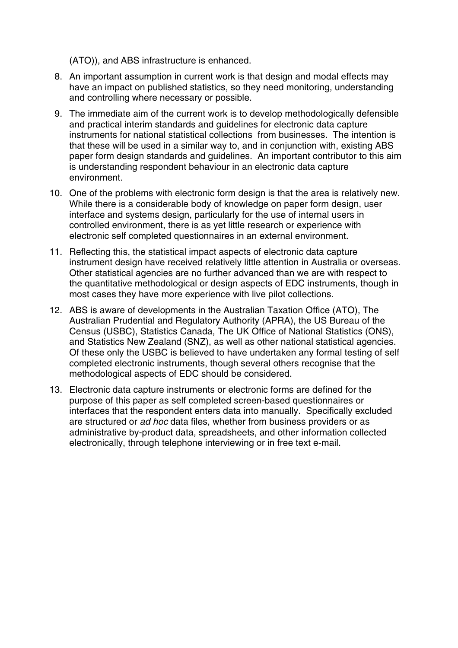(ATO)), and ABS infrastructure is enhanced.

- 8. An important assumption in current work is that design and modal effects may have an impact on published statistics, so they need monitoring, understanding and controlling where necessary or possible.
- 9. The immediate aim of the current work is to develop methodologically defensible and practical interim standards and guidelines for electronic data capture instruments for national statistical collections from businesses. The intention is that these will be used in a similar way to, and in conjunction with, existing ABS paper form design standards and guidelines. An important contributor to this aim is understanding respondent behaviour in an electronic data capture environment.
- 10. One of the problems with electronic form design is that the area is relatively new. While there is a considerable body of knowledge on paper form design, user interface and systems design, particularly for the use of internal users in controlled environment, there is as yet little research or experience with electronic self completed questionnaires in an external environment.
- 11. Reflecting this, the statistical impact aspects of electronic data capture instrument design have received relatively little attention in Australia or overseas. Other statistical agencies are no further advanced than we are with respect to the quantitative methodological or design aspects of EDC instruments, though in most cases they have more experience with live pilot collections.
- 12. ABS is aware of developments in the Australian Taxation Office (ATO), The Australian Prudential and Regulatory Authority (APRA), the US Bureau of the Census (USBC), Statistics Canada, The UK Office of National Statistics (ONS), and Statistics New Zealand (SNZ), as well as other national statistical agencies. Of these only the USBC is believed to have undertaken any formal testing of self completed electronic instruments, though several others recognise that the methodological aspects of EDC should be considered.
- 13. Electronic data capture instruments or electronic forms are defined for the purpose of this paper as self completed screen-based questionnaires or interfaces that the respondent enters data into manually. Specifically excluded are structured or *ad hoc* data files, whether from business providers or as administrative by-product data, spreadsheets, and other information collected electronically, through telephone interviewing or in free text e-mail.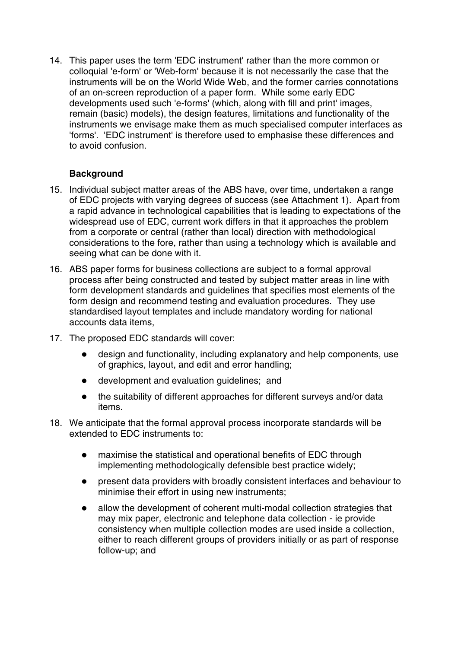14. This paper uses the term 'EDC instrument' rather than the more common or colloquial 'e-form' or 'Web-form' because it is not necessarily the case that the instruments will be on the World Wide Web, and the former carries connotations of an on-screen reproduction of a paper form. While some early EDC developments used such 'e-forms' (which, along with fill and print' images, remain (basic) models), the design features, limitations and functionality of the instruments we envisage make them as much specialised computer interfaces as 'forms'. 'EDC instrument' is therefore used to emphasise these differences and to avoid confusion.

## **Background**

- 15. Individual subject matter areas of the ABS have, over time, undertaken a range of EDC projects with varying degrees of success (see Attachment 1). Apart from a rapid advance in technological capabilities that is leading to expectations of the widespread use of EDC, current work differs in that it approaches the problem from a corporate or central (rather than local) direction with methodological considerations to the fore, rather than using a technology which is available and seeing what can be done with it.
- 16. ABS paper forms for business collections are subject to a formal approval process after being constructed and tested by subject matter areas in line with form development standards and guidelines that specifies most elements of the form design and recommend testing and evaluation procedures. They use standardised layout templates and include mandatory wording for national accounts data items,
- 17. The proposed EDC standards will cover:
	- design and functionality, including explanatory and help components, use of graphics, layout, and edit and error handling;
	- development and evaluation guidelines; and
	- the suitability of different approaches for different surveys and/or data items.
- 18. We anticipate that the formal approval process incorporate standards will be extended to EDC instruments to:
	- maximise the statistical and operational benefits of EDC through implementing methodologically defensible best practice widely;
	- present data providers with broadly consistent interfaces and behaviour to minimise their effort in using new instruments;
	- allow the development of coherent multi-modal collection strategies that may mix paper, electronic and telephone data collection - ie provide consistency when multiple collection modes are used inside a collection, either to reach different groups of providers initially or as part of response follow-up; and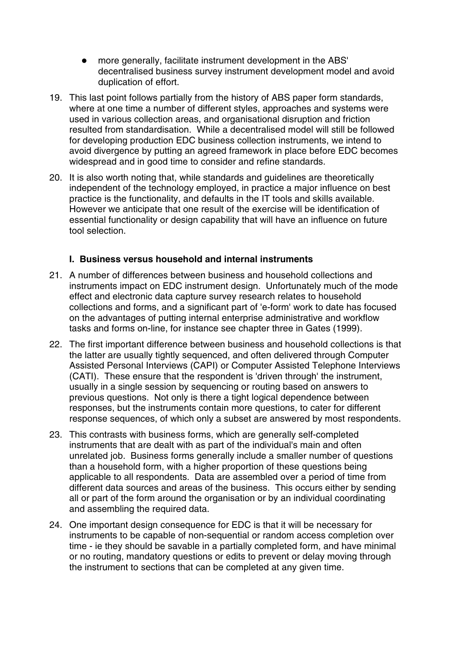- more generally, facilitate instrument development in the ABS' decentralised business survey instrument development model and avoid duplication of effort.
- 19. This last point follows partially from the history of ABS paper form standards, where at one time a number of different styles, approaches and systems were used in various collection areas, and organisational disruption and friction resulted from standardisation. While a decentralised model will still be followed for developing production EDC business collection instruments, we intend to avoid divergence by putting an agreed framework in place before EDC becomes widespread and in good time to consider and refine standards.
- 20. It is also worth noting that, while standards and guidelines are theoretically independent of the technology employed, in practice a major influence on best practice is the functionality, and defaults in the IT tools and skills available. However we anticipate that one result of the exercise will be identification of essential functionality or design capability that will have an influence on future tool selection.

### **I. Business versus household and internal instruments**

- 21. A number of differences between business and household collections and instruments impact on EDC instrument design. Unfortunately much of the mode effect and electronic data capture survey research relates to household collections and forms, and a significant part of 'e-form' work to date has focused on the advantages of putting internal enterprise administrative and workflow tasks and forms on-line, for instance see chapter three in Gates (1999).
- 22. The first important difference between business and household collections is that the latter are usually tightly sequenced, and often delivered through Computer Assisted Personal Interviews (CAPI) or Computer Assisted Telephone Interviews (CATI). These ensure that the respondent is 'driven through' the instrument, usually in a single session by sequencing or routing based on answers to previous questions. Not only is there a tight logical dependence between responses, but the instruments contain more questions, to cater for different response sequences, of which only a subset are answered by most respondents.
- 23. This contrasts with business forms, which are generally self-completed instruments that are dealt with as part of the individual's main and often unrelated job. Business forms generally include a smaller number of questions than a household form, with a higher proportion of these questions being applicable to all respondents. Data are assembled over a period of time from different data sources and areas of the business. This occurs either by sending all or part of the form around the organisation or by an individual coordinating and assembling the required data.
- 24. One important design consequence for EDC is that it will be necessary for instruments to be capable of non-sequential or random access completion over time - ie they should be savable in a partially completed form, and have minimal or no routing, mandatory questions or edits to prevent or delay moving through the instrument to sections that can be completed at any given time.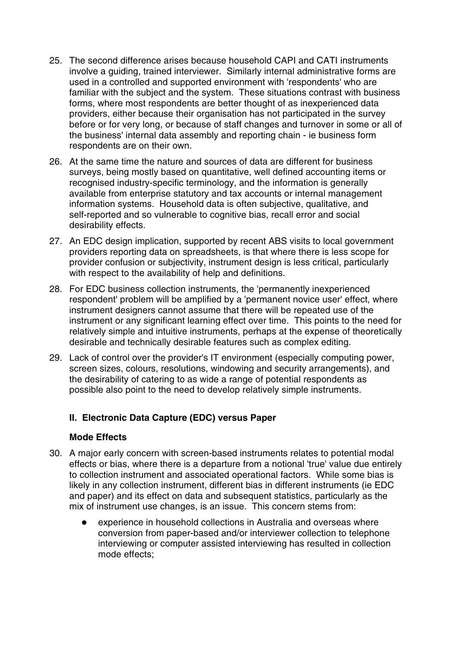- 25. The second difference arises because household CAPI and CATI instruments involve a guiding, trained interviewer. Similarly internal administrative forms are used in a controlled and supported environment with 'respondents' who are familiar with the subject and the system. These situations contrast with business forms, where most respondents are better thought of as inexperienced data providers, either because their organisation has not participated in the survey before or for very long, or because of staff changes and turnover in some or all of the business' internal data assembly and reporting chain - ie business form respondents are on their own.
- 26. At the same time the nature and sources of data are different for business surveys, being mostly based on quantitative, well defined accounting items or recognised industry-specific terminology, and the information is generally available from enterprise statutory and tax accounts or internal management information systems. Household data is often subjective, qualitative, and self-reported and so vulnerable to cognitive bias, recall error and social desirability effects.
- 27. An EDC design implication, supported by recent ABS visits to local government providers reporting data on spreadsheets, is that where there is less scope for provider confusion or subjectivity, instrument design is less critical, particularly with respect to the availability of help and definitions.
- 28. For EDC business collection instruments, the 'permanently inexperienced respondent' problem will be amplified by a 'permanent novice user' effect, where instrument designers cannot assume that there will be repeated use of the instrument or any significant learning effect over time. This points to the need for relatively simple and intuitive instruments, perhaps at the expense of theoretically desirable and technically desirable features such as complex editing.
- 29. Lack of control over the provider's IT environment (especially computing power, screen sizes, colours, resolutions, windowing and security arrangements), and the desirability of catering to as wide a range of potential respondents as possible also point to the need to develop relatively simple instruments.

## **II. Electronic Data Capture (EDC) versus Paper**

#### **Mode Effects**

- 30. A major early concern with screen-based instruments relates to potential modal effects or bias, where there is a departure from a notional 'true' value due entirely to collection instrument and associated operational factors. While some bias is likely in any collection instrument, different bias in different instruments (ie EDC and paper) and its effect on data and subsequent statistics, particularly as the mix of instrument use changes, is an issue. This concern stems from:
	- experience in household collections in Australia and overseas where conversion from paper-based and/or interviewer collection to telephone interviewing or computer assisted interviewing has resulted in collection mode effects;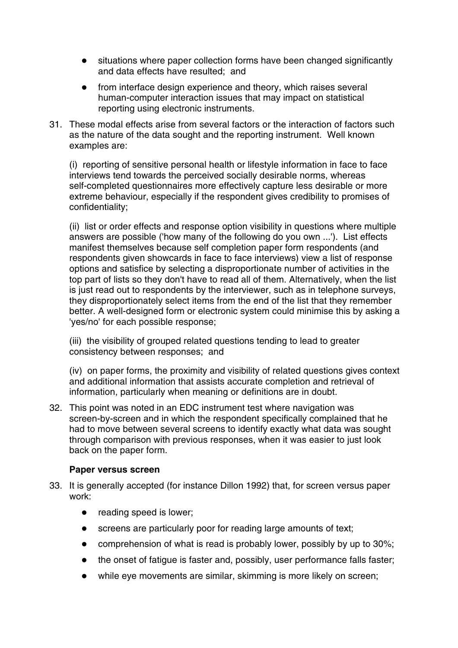- situations where paper collection forms have been changed significantly and data effects have resulted; and
- from interface design experience and theory, which raises several human-computer interaction issues that may impact on statistical reporting using electronic instruments.
- 31. These modal effects arise from several factors or the interaction of factors such as the nature of the data sought and the reporting instrument. Well known examples are:

(i) reporting of sensitive personal health or lifestyle information in face to face interviews tend towards the perceived socially desirable norms, whereas self-completed questionnaires more effectively capture less desirable or more extreme behaviour, especially if the respondent gives credibility to promises of confidentiality;

(ii) list or order effects and response option visibility in questions where multiple answers are possible ('how many of the following do you own ...'). List effects manifest themselves because self completion paper form respondents (and respondents given showcards in face to face interviews) view a list of response options and satisfice by selecting a disproportionate number of activities in the top part of lists so they don't have to read all of them. Alternatively, when the list is just read out to respondents by the interviewer, such as in telephone surveys, they disproportionately select items from the end of the list that they remember better. A well-designed form or electronic system could minimise this by asking a 'yes/no' for each possible response;

(iii) the visibility of grouped related questions tending to lead to greater consistency between responses; and

(iv) on paper forms, the proximity and visibility of related questions gives context and additional information that assists accurate completion and retrieval of information, particularly when meaning or definitions are in doubt.

32. This point was noted in an EDC instrument test where navigation was screen-by-screen and in which the respondent specifically complained that he had to move between several screens to identify exactly what data was sought through comparison with previous responses, when it was easier to just look back on the paper form.

#### **Paper versus screen**

- 33. It is generally accepted (for instance Dillon 1992) that, for screen versus paper work:
	- reading speed is lower:
	- screens are particularly poor for reading large amounts of text;
	- comprehension of what is read is probably lower, possibly by up to 30%;
	- the onset of fatigue is faster and, possibly, user performance falls faster;
	- while eye movements are similar, skimming is more likely on screen;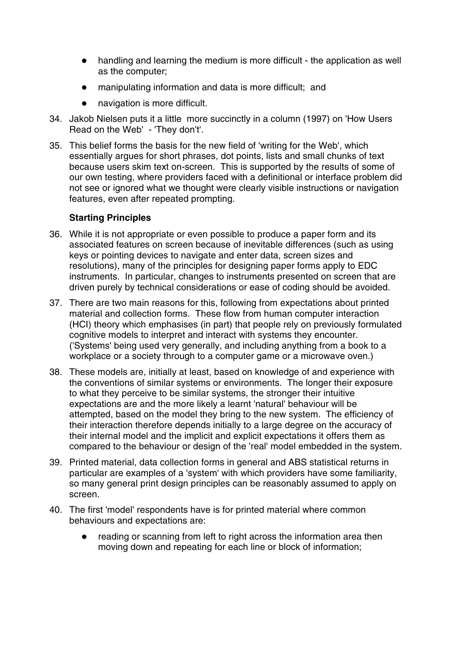- handling and learning the medium is more difficult the application as well as the computer;
- manipulating information and data is more difficult; and
- navigation is more difficult.
- 34. Jakob Nielsen puts it a little more succinctly in a column (1997) on 'How Users Read on the Web' - 'They don't'.
- 35. This belief forms the basis for the new field of 'writing for the Web', which essentially argues for short phrases, dot points, lists and small chunks of text because users skim text on-screen. This is supported by the results of some of our own testing, where providers faced with a definitional or interface problem did not see or ignored what we thought were clearly visible instructions or navigation features, even after repeated prompting.

#### **Starting Principles**

- 36. While it is not appropriate or even possible to produce a paper form and its associated features on screen because of inevitable differences (such as using keys or pointing devices to navigate and enter data, screen sizes and resolutions), many of the principles for designing paper forms apply to EDC instruments. In particular, changes to instruments presented on screen that are driven purely by technical considerations or ease of coding should be avoided.
- 37. There are two main reasons for this, following from expectations about printed material and collection forms. These flow from human computer interaction (HCI) theory which emphasises (in part) that people rely on previously formulated cognitive models to interpret and interact with systems they encounter. ('Systems' being used very generally, and including anything from a book to a workplace or a society through to a computer game or a microwave oven.)
- 38. These models are, initially at least, based on knowledge of and experience with the conventions of similar systems or environments. The longer their exposure to what they perceive to be similar systems, the stronger their intuitive expectations are and the more likely a learnt 'natural' behaviour will be attempted, based on the model they bring to the new system. The efficiency of their interaction therefore depends initially to a large degree on the accuracy of their internal model and the implicit and explicit expectations it offers them as compared to the behaviour or design of the 'real' model embedded in the system.
- 39. Printed material, data collection forms in general and ABS statistical returns in particular are examples of a 'system' with which providers have some familiarity, so many general print design principles can be reasonably assumed to apply on screen.
- 40. The first 'model' respondents have is for printed material where common behaviours and expectations are:
	- reading or scanning from left to right across the information area then moving down and repeating for each line or block of information;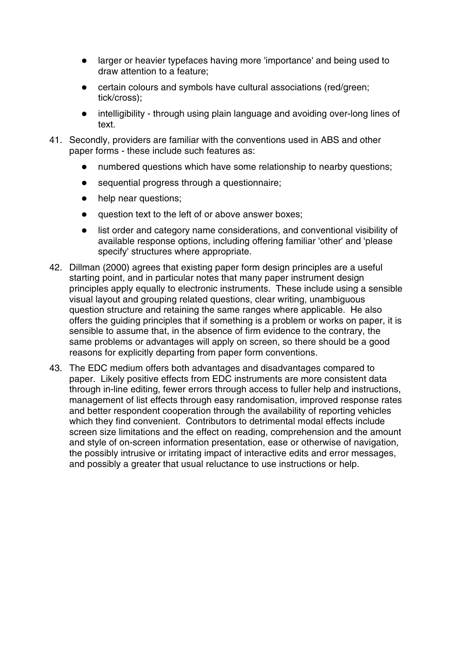- larger or heavier typefaces having more 'importance' and being used to draw attention to a feature;
- certain colours and symbols have cultural associations (red/green; tick/cross);
- intelligibility through using plain language and avoiding over-long lines of text.
- 41. Secondly, providers are familiar with the conventions used in ABS and other paper forms - these include such features as:
	- numbered questions which have some relationship to nearby questions;
	- sequential progress through a questionnaire;
	- help near questions;
	- question text to the left of or above answer boxes;
	- list order and category name considerations, and conventional visibility of available response options, including offering familiar 'other' and 'please specify' structures where appropriate.
- 42. Dillman (2000) agrees that existing paper form design principles are a useful starting point, and in particular notes that many paper instrument design principles apply equally to electronic instruments. These include using a sensible visual layout and grouping related questions, clear writing, unambiguous question structure and retaining the same ranges where applicable. He also offers the guiding principles that if something is a problem or works on paper, it is sensible to assume that, in the absence of firm evidence to the contrary, the same problems or advantages will apply on screen, so there should be a good reasons for explicitly departing from paper form conventions.
- 43. The EDC medium offers both advantages and disadvantages compared to paper. Likely positive effects from EDC instruments are more consistent data through in-line editing, fewer errors through access to fuller help and instructions, management of list effects through easy randomisation, improved response rates and better respondent cooperation through the availability of reporting vehicles which they find convenient. Contributors to detrimental modal effects include screen size limitations and the effect on reading, comprehension and the amount and style of on-screen information presentation, ease or otherwise of navigation, the possibly intrusive or irritating impact of interactive edits and error messages, and possibly a greater that usual reluctance to use instructions or help.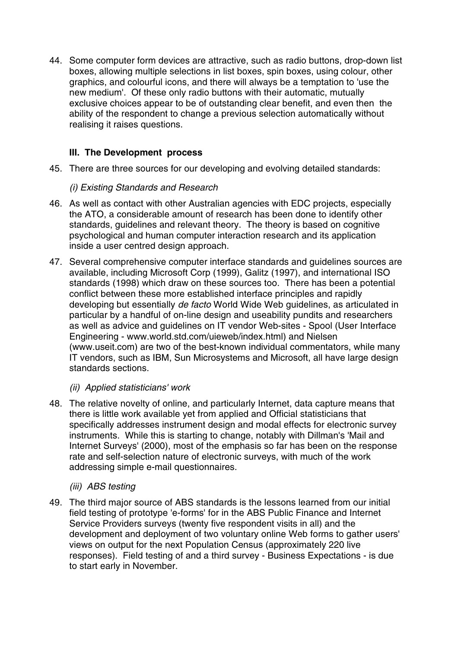44. Some computer form devices are attractive, such as radio buttons, drop-down list boxes, allowing multiple selections in list boxes, spin boxes, using colour, other graphics, and colourful icons, and there will always be a temptation to 'use the new medium'. Of these only radio buttons with their automatic, mutually exclusive choices appear to be of outstanding clear benefit, and even then the ability of the respondent to change a previous selection automatically without realising it raises questions.

# **III. The Development process**

45. There are three sources for our developing and evolving detailed standards:

### *(i) Existing Standards and Research*

- 46. As well as contact with other Australian agencies with EDC projects, especially the ATO, a considerable amount of research has been done to identify other standards, guidelines and relevant theory. The theory is based on cognitive psychological and human computer interaction research and its application inside a user centred design approach.
- 47. Several comprehensive computer interface standards and guidelines sources are available, including Microsoft Corp (1999), Galitz (1997), and international ISO standards (1998) which draw on these sources too. There has been a potential conflict between these more established interface principles and rapidly developing but essentially *de facto* World Wide Web guidelines, as articulated in particular by a handful of on-line design and useability pundits and researchers as well as advice and guidelines on IT vendor Web-sites - Spool (User Interface Engineering - www.world.std.com/uieweb/index.html) and Nielsen (www.useit.com) are two of the best-known individual commentators, while many IT vendors, such as IBM, Sun Microsystems and Microsoft, all have large design standards sections.

## *(ii) Applied statisticians' work*

48. The relative novelty of online, and particularly Internet, data capture means that there is little work available yet from applied and Official statisticians that specifically addresses instrument design and modal effects for electronic survey instruments. While this is starting to change, notably with Dillman's 'Mail and Internet Surveys' (2000), most of the emphasis so far has been on the response rate and self-selection nature of electronic surveys, with much of the work addressing simple e-mail questionnaires.

## *(iii) ABS testing*

49. The third major source of ABS standards is the lessons learned from our initial field testing of prototype 'e-forms' for in the ABS Public Finance and Internet Service Providers surveys (twenty five respondent visits in all) and the development and deployment of two voluntary online Web forms to gather users' views on output for the next Population Census (approximately 220 live responses). Field testing of and a third survey - Business Expectations - is due to start early in November.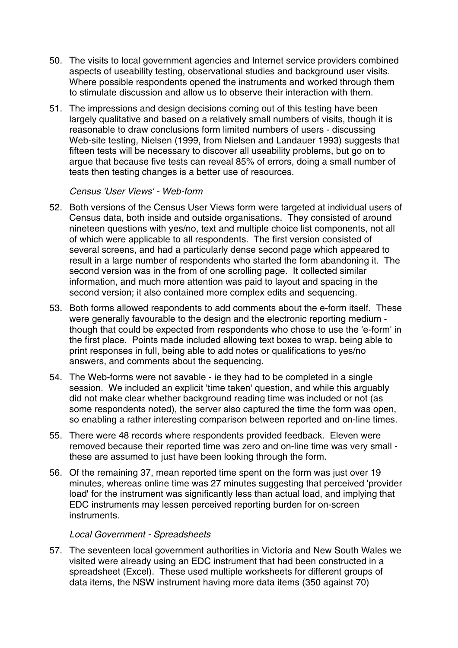- 50. The visits to local government agencies and Internet service providers combined aspects of useability testing, observational studies and background user visits. Where possible respondents opened the instruments and worked through them to stimulate discussion and allow us to observe their interaction with them.
- 51. The impressions and design decisions coming out of this testing have been largely qualitative and based on a relatively small numbers of visits, though it is reasonable to draw conclusions form limited numbers of users - discussing Web-site testing, Nielsen (1999, from Nielsen and Landauer 1993) suggests that fifteen tests will be necessary to discover all useability problems, but go on to argue that because five tests can reveal 85% of errors, doing a small number of tests then testing changes is a better use of resources.

#### *Census 'User Views' - Web-form*

- 52. Both versions of the Census User Views form were targeted at individual users of Census data, both inside and outside organisations. They consisted of around nineteen questions with yes/no, text and multiple choice list components, not all of which were applicable to all respondents. The first version consisted of several screens, and had a particularly dense second page which appeared to result in a large number of respondents who started the form abandoning it. The second version was in the from of one scrolling page. It collected similar information, and much more attention was paid to layout and spacing in the second version; it also contained more complex edits and sequencing.
- 53. Both forms allowed respondents to add comments about the e-form itself. These were generally favourable to the design and the electronic reporting medium though that could be expected from respondents who chose to use the 'e-form' in the first place. Points made included allowing text boxes to wrap, being able to print responses in full, being able to add notes or qualifications to yes/no answers, and comments about the sequencing.
- 54. The Web-forms were not savable ie they had to be completed in a single session. We included an explicit 'time taken' question, and while this arguably did not make clear whether background reading time was included or not (as some respondents noted), the server also captured the time the form was open, so enabling a rather interesting comparison between reported and on-line times.
- 55. There were 48 records where respondents provided feedback. Eleven were removed because their reported time was zero and on-line time was very small these are assumed to just have been looking through the form.
- 56. Of the remaining 37, mean reported time spent on the form was just over 19 minutes, whereas online time was 27 minutes suggesting that perceived 'provider load' for the instrument was significantly less than actual load, and implying that EDC instruments may lessen perceived reporting burden for on-screen instruments.

#### *Local Government - Spreadsheets*

57. The seventeen local government authorities in Victoria and New South Wales we visited were already using an EDC instrument that had been constructed in a spreadsheet (Excel). These used multiple worksheets for different groups of data items, the NSW instrument having more data items (350 against 70)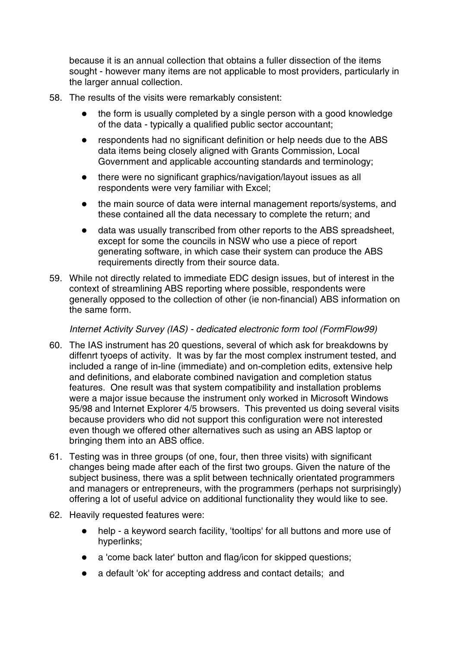because it is an annual collection that obtains a fuller dissection of the items sought - however many items are not applicable to most providers, particularly in the larger annual collection.

- 58. The results of the visits were remarkably consistent:
	- the form is usually completed by a single person with a good knowledge of the data - typically a qualified public sector accountant;
	- respondents had no significant definition or help needs due to the ABS data items being closely aligned with Grants Commission, Local Government and applicable accounting standards and terminology;
	- there were no significant graphics/navigation/layout issues as all respondents were very familiar with Excel;
	- the main source of data were internal management reports/systems, and these contained all the data necessary to complete the return; and
	- data was usually transcribed from other reports to the ABS spreadsheet, except for some the councils in NSW who use a piece of report generating software, in which case their system can produce the ABS requirements directly from their source data.
- 59. While not directly related to immediate EDC design issues, but of interest in the context of streamlining ABS reporting where possible, respondents were generally opposed to the collection of other (ie non-financial) ABS information on the same form.

*Internet Activity Survey (IAS) - dedicated electronic form tool (FormFlow99)*

- 60. The IAS instrument has 20 questions, several of which ask for breakdowns by diffenrt tyoeps of activity. It was by far the most complex instrument tested, and included a range of in-line (immediate) and on-completion edits, extensive help and definitions, and elaborate combined navigation and completion status features. One result was that system compatibility and installation problems were a major issue because the instrument only worked in Microsoft Windows 95/98 and Internet Explorer 4/5 browsers. This prevented us doing several visits because providers who did not support this configuration were not interested even though we offered other alternatives such as using an ABS laptop or bringing them into an ABS office.
- 61. Testing was in three groups (of one, four, then three visits) with significant changes being made after each of the first two groups. Given the nature of the subject business, there was a split between technically orientated programmers and managers or entrepreneurs, with the programmers (perhaps not surprisingly) offering a lot of useful advice on additional functionality they would like to see.
- 62. Heavily requested features were:
	- help a keyword search facility, 'tooltips' for all buttons and more use of hyperlinks;
	- a 'come back later' button and flag/icon for skipped questions;
	- a default 'ok' for accepting address and contact details; and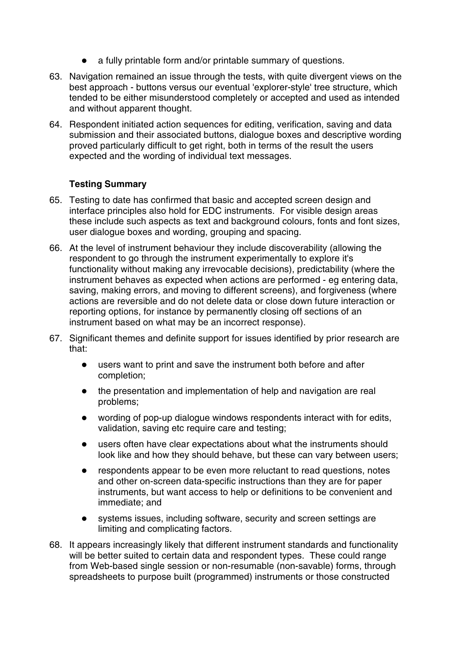- a fully printable form and/or printable summary of questions.
- 63. Navigation remained an issue through the tests, with quite divergent views on the best approach - buttons versus our eventual 'explorer-style' tree structure, which tended to be either misunderstood completely or accepted and used as intended and without apparent thought.
- 64. Respondent initiated action sequences for editing, verification, saving and data submission and their associated buttons, dialogue boxes and descriptive wording proved particularly difficult to get right, both in terms of the result the users expected and the wording of individual text messages.

## **Testing Summary**

- 65. Testing to date has confirmed that basic and accepted screen design and interface principles also hold for EDC instruments. For visible design areas these include such aspects as text and background colours, fonts and font sizes, user dialogue boxes and wording, grouping and spacing.
- 66. At the level of instrument behaviour they include discoverability (allowing the respondent to go through the instrument experimentally to explore it's functionality without making any irrevocable decisions), predictability (where the instrument behaves as expected when actions are performed - eg entering data, saving, making errors, and moving to different screens), and forgiveness (where actions are reversible and do not delete data or close down future interaction or reporting options, for instance by permanently closing off sections of an instrument based on what may be an incorrect response).
- 67. Significant themes and definite support for issues identified by prior research are that:
	- users want to print and save the instrument both before and after completion;
	- the presentation and implementation of help and navigation are real problems;
	- wording of pop-up dialogue windows respondents interact with for edits, validation, saving etc require care and testing;
	- users often have clear expectations about what the instruments should look like and how they should behave, but these can vary between users;
	- respondents appear to be even more reluctant to read questions, notes and other on-screen data-specific instructions than they are for paper instruments, but want access to help or definitions to be convenient and immediate; and
	- systems issues, including software, security and screen settings are limiting and complicating factors.
- 68. It appears increasingly likely that different instrument standards and functionality will be better suited to certain data and respondent types. These could range from Web-based single session or non-resumable (non-savable) forms, through spreadsheets to purpose built (programmed) instruments or those constructed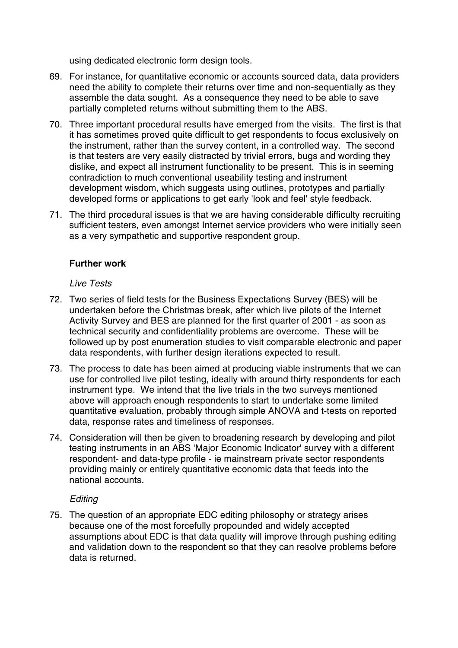using dedicated electronic form design tools.

- 69. For instance, for quantitative economic or accounts sourced data, data providers need the ability to complete their returns over time and non-sequentially as they assemble the data sought. As a consequence they need to be able to save partially completed returns without submitting them to the ABS.
- 70. Three important procedural results have emerged from the visits. The first is that it has sometimes proved quite difficult to get respondents to focus exclusively on the instrument, rather than the survey content, in a controlled way. The second is that testers are very easily distracted by trivial errors, bugs and wording they dislike, and expect all instrument functionality to be present. This is in seeming contradiction to much conventional useability testing and instrument development wisdom, which suggests using outlines, prototypes and partially developed forms or applications to get early 'look and feel' style feedback.
- 71. The third procedural issues is that we are having considerable difficulty recruiting sufficient testers, even amongst Internet service providers who were initially seen as a very sympathetic and supportive respondent group.

#### **Further work**

*Live Tests*

- 72. Two series of field tests for the Business Expectations Survey (BES) will be undertaken before the Christmas break, after which live pilots of the Internet Activity Survey and BES are planned for the first quarter of 2001 - as soon as technical security and confidentiality problems are overcome. These will be followed up by post enumeration studies to visit comparable electronic and paper data respondents, with further design iterations expected to result.
- 73. The process to date has been aimed at producing viable instruments that we can use for controlled live pilot testing, ideally with around thirty respondents for each instrument type. We intend that the live trials in the two surveys mentioned above will approach enough respondents to start to undertake some limited quantitative evaluation, probably through simple ANOVA and t-tests on reported data, response rates and timeliness of responses.
- 74. Consideration will then be given to broadening research by developing and pilot testing instruments in an ABS 'Major Economic Indicator' survey with a different respondent- and data-type profile - ie mainstream private sector respondents providing mainly or entirely quantitative economic data that feeds into the national accounts.

#### *Editing*

75. The question of an appropriate EDC editing philosophy or strategy arises because one of the most forcefully propounded and widely accepted assumptions about EDC is that data quality will improve through pushing editing and validation down to the respondent so that they can resolve problems before data is returned.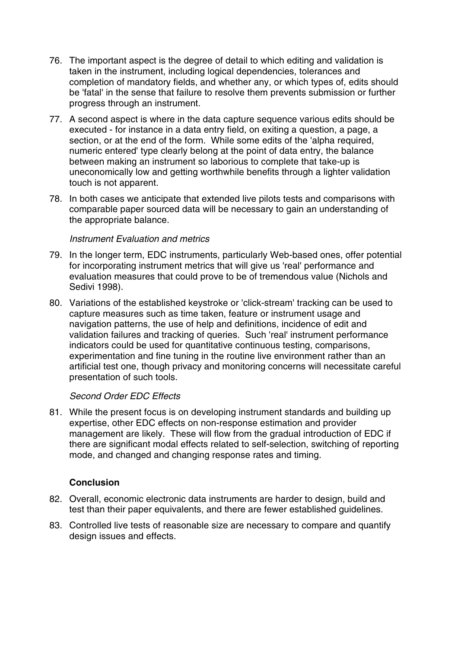- 76. The important aspect is the degree of detail to which editing and validation is taken in the instrument, including logical dependencies, tolerances and completion of mandatory fields, and whether any, or which types of, edits should be 'fatal' in the sense that failure to resolve them prevents submission or further progress through an instrument.
- 77. A second aspect is where in the data capture sequence various edits should be executed - for instance in a data entry field, on exiting a question, a page, a section, or at the end of the form. While some edits of the 'alpha required, numeric entered' type clearly belong at the point of data entry, the balance between making an instrument so laborious to complete that take-up is uneconomically low and getting worthwhile benefits through a lighter validation touch is not apparent.
- 78. In both cases we anticipate that extended live pilots tests and comparisons with comparable paper sourced data will be necessary to gain an understanding of the appropriate balance.

#### *Instrument Evaluation and metrics*

- 79. In the longer term, EDC instruments, particularly Web-based ones, offer potential for incorporating instrument metrics that will give us 'real' performance and evaluation measures that could prove to be of tremendous value (Nichols and Sedivi 1998).
- 80. Variations of the established keystroke or 'click-stream' tracking can be used to capture measures such as time taken, feature or instrument usage and navigation patterns, the use of help and definitions, incidence of edit and validation failures and tracking of queries. Such 'real' instrument performance indicators could be used for quantitative continuous testing, comparisons, experimentation and fine tuning in the routine live environment rather than an artificial test one, though privacy and monitoring concerns will necessitate careful presentation of such tools.

## *Second Order EDC Effects*

81. While the present focus is on developing instrument standards and building up expertise, other EDC effects on non-response estimation and provider management are likely. These will flow from the gradual introduction of EDC if there are significant modal effects related to self-selection, switching of reporting mode, and changed and changing response rates and timing.

## **Conclusion**

- 82. Overall, economic electronic data instruments are harder to design, build and test than their paper equivalents, and there are fewer established guidelines.
- 83. Controlled live tests of reasonable size are necessary to compare and quantify design issues and effects.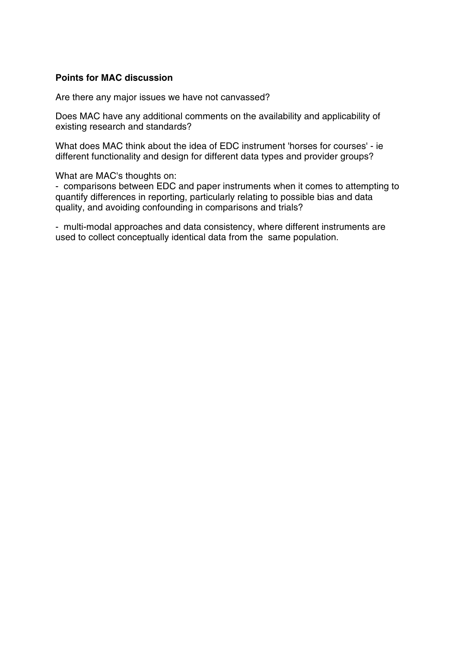#### **Points for MAC discussion**

Are there any major issues we have not canvassed?

Does MAC have any additional comments on the availability and applicability of existing research and standards?

What does MAC think about the idea of EDC instrument 'horses for courses' - ie different functionality and design for different data types and provider groups?

What are MAC's thoughts on:

- comparisons between EDC and paper instruments when it comes to attempting to quantify differences in reporting, particularly relating to possible bias and data quality, and avoiding confounding in comparisons and trials?

- multi-modal approaches and data consistency, where different instruments are used to collect conceptually identical data from the same population.